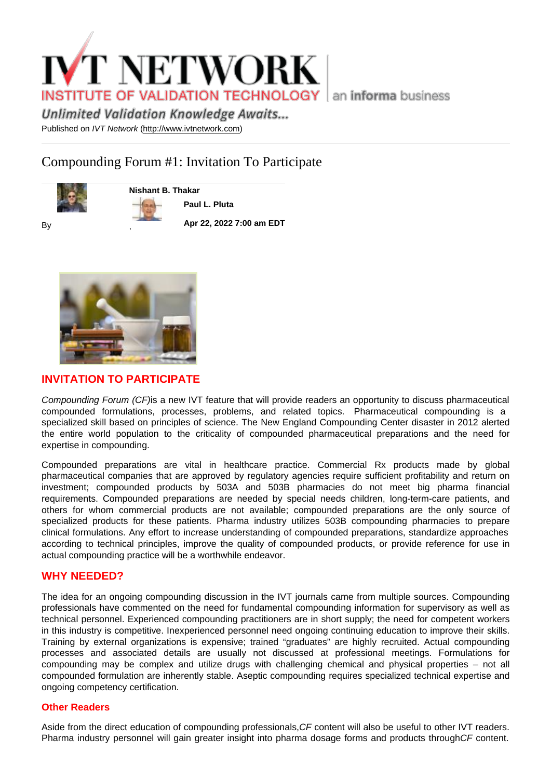# Compounding Forum #1: Invitation To Participate

Nishant B. Thakar

Paul L. Pluta

By

Apr 22, 2022 7:00 am EDT



,

# INVITATION TO PARTICIPATE

Compounding Forum (CF)is a new IVT feature that will provide readers an opportunity to discuss pharmaceutical compounded formulations, processes, problems, and related topics. Pharmaceutical compounding is a specialized skill based on principles of science. The New England Compounding Center disaster in 2012 alerted the entire world population to the criticality of compounded pharmaceutical preparations and the need for expertise in compounding.

Compounded preparations are vital in healthcare practice. Commercial Rx products made by global pharmaceutical companies that are approved by regulatory agencies require sufficient profitability and return on investment; compounded products by 503A and 503B pharmacies do not meet big pharma financial requirements. Compounded preparations are needed by special needs children, long-term-care patients, and others for whom commercial products are not available; compounded preparations are the only source of specialized products for these patients. Pharma industry utilizes 503B compounding pharmacies to prepare clinical formulations. Any effort to increase understanding of compounded preparations, standardize approaches according to technical principles, improve the quality of compounded products, or provide reference for use in actual compounding practice will be a worthwhile endeavor.

### WHY NEEDED?

The idea for an ongoing compounding discussion in the IVT journals came from multiple sources. Compounding professionals have commented on the need for fundamental compounding information for supervisory as well as technical personnel. Experienced compounding practitioners are in short supply; the need for competent workers in this industry is competitive. Inexperienced personnel need ongoing continuing education to improve their skills. Training by external organizations is expensive; trained "graduates" are highly recruited. Actual compounding processes and associated details are usually not discussed at professional meetings. Formulations for compounding may be complex and utilize drugs with challenging chemical and physical properties – not all compounded formulation are inherently stable. Aseptic compounding requires specialized technical expertise and ongoing competency certification.

#### Other Readers

Aside from the direct education of compounding professionals,CF content will also be useful to other IVT readers. Pharma industry personnel will gain greater insight into pharma dosage forms and products throughCF content.